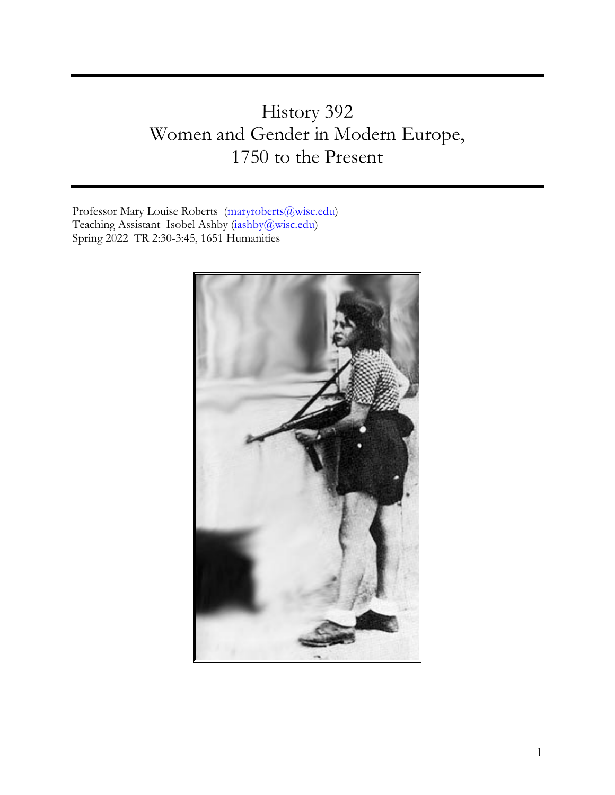# History 392 Women and Gender in Modern Europe, 1750 to the Present

Professor Mary Louise Roberts [\(maryroberts@wisc.edu\)](mailto:maryroberts@wisc.edu) Teaching Assistant Isobel Ashby [\(iashby@wisc.edu\)](mailto:iashby@wisc.edu) Spring 2022 TR 2:30-3:45, 1651 Humanities

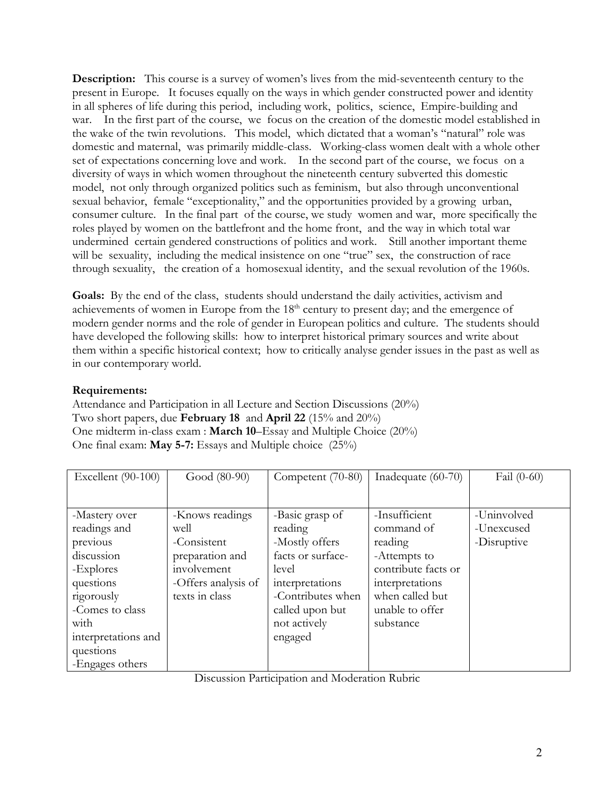**Description:** This course is a survey of women's lives from the mid-seventeenth century to the present in Europe. It focuses equally on the ways in which gender constructed power and identity in all spheres of life during this period, including work, politics, science, Empire-building and war. In the first part of the course, we focus on the creation of the domestic model established in the wake of the twin revolutions. This model, which dictated that a woman's "natural" role was domestic and maternal, was primarily middle-class. Working-class women dealt with a whole other set of expectations concerning love and work. In the second part of the course, we focus on a diversity of ways in which women throughout the nineteenth century subverted this domestic model, not only through organized politics such as feminism, but also through unconventional sexual behavior, female "exceptionality," and the opportunities provided by a growing urban, consumer culture. In the final part of the course, we study women and war, more specifically the roles played by women on the battlefront and the home front, and the way in which total war undermined certain gendered constructions of politics and work. Still another important theme will be sexuality, including the medical insistence on one "true" sex, the construction of race through sexuality, the creation of a homosexual identity, and the sexual revolution of the 1960s.

Goals: By the end of the class, students should understand the daily activities, activism and achievements of women in Europe from the  $18<sup>th</sup>$  century to present day; and the emergence of modern gender norms and the role of gender in European politics and culture. The students should have developed the following skills: how to interpret historical primary sources and write about them within a specific historical context; how to critically analyse gender issues in the past as well as in our contemporary world.

# **Requirements:**

Attendance and Participation in all Lecture and Section Discussions (20%) Two short papers, due **February 18** and **April 22** (15% and 20%) One midterm in-class exam : **March 10**–Essay and Multiple Choice (20%) One final exam: **May 5-7:** Essays and Multiple choice (25%)

| Excellent (90-100)                                                                                                                                             | Good (80-90)                                                                                                      | Competent (70-80)                                                                                                                                                | Inadequate (60-70)                                                                                                                                  | Fail $(0-60)$                            |
|----------------------------------------------------------------------------------------------------------------------------------------------------------------|-------------------------------------------------------------------------------------------------------------------|------------------------------------------------------------------------------------------------------------------------------------------------------------------|-----------------------------------------------------------------------------------------------------------------------------------------------------|------------------------------------------|
|                                                                                                                                                                |                                                                                                                   |                                                                                                                                                                  |                                                                                                                                                     |                                          |
| -Mastery over<br>readings and<br>previous<br>discussion<br>-Explores<br>questions<br>rigorously<br>-Comes to class<br>with<br>interpretations and<br>questions | -Knows readings<br>well<br>-Consistent<br>preparation and<br>involvement<br>-Offers analysis of<br>texts in class | -Basic grasp of<br>reading<br>-Mostly offers<br>facts or surface-<br>level<br>interpretations<br>-Contributes when<br>called upon but<br>not actively<br>engaged | -Insufficient<br>command of<br>reading<br>-Attempts to<br>contribute facts or<br>interpretations<br>when called but<br>unable to offer<br>substance | -Uninvolved<br>-Unexcused<br>-Disruptive |
| -Engages others                                                                                                                                                |                                                                                                                   |                                                                                                                                                                  |                                                                                                                                                     |                                          |

Discussion Participation and Moderation Rubric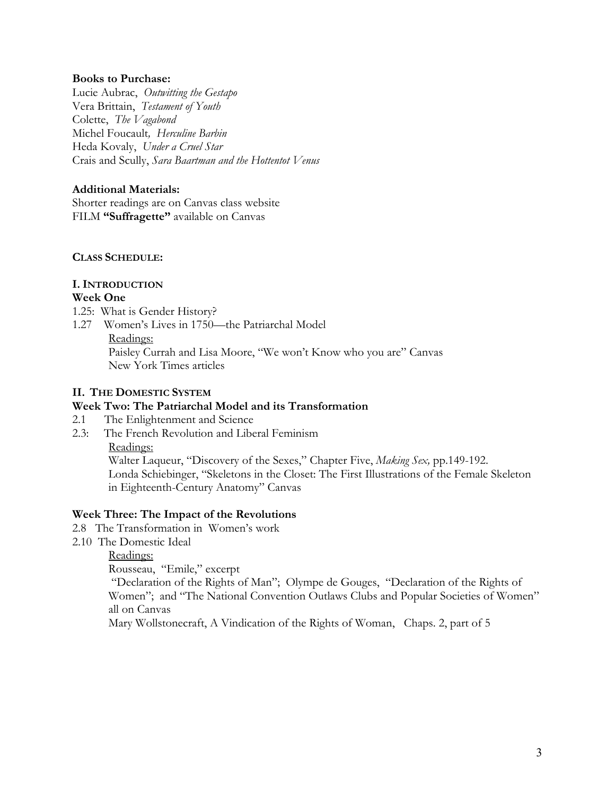#### **Books to Purchase:**

Lucie Aubrac, *Outwitting the Gestapo*  Vera Brittain, *Testament of Youth*  Colette, *The Vagabond* Michel Foucault*, Herculine Barbin* Heda Kovaly, *Under a Cruel Star* Crais and Scully, *Sara Baartman and the Hottentot Venus*

### **Additional Materials:**

Shorter readings are on Canvas class website FILM **"Suffragette"** available on Canvas

#### **CLASS SCHEDULE:**

# **I. INTRODUCTION**

#### **Week One**

- 1.25: What is Gender History?
- 1.27 Women's Lives in 1750—the Patriarchal Model

Readings:

Paisley Currah and Lisa Moore, "We won't Know who you are" Canvas New York Times articles

# **II. THE DOMESTIC SYSTEM**

# **Week Two: The Patriarchal Model and its Transformation**

- 2.1 The Enlightenment and Science
- 2.3: The French Revolution and Liberal Feminism

Readings:

Walter Laqueur, "Discovery of the Sexes," Chapter Five, *Making Sex,* pp.149-192. Londa Schiebinger, "Skeletons in the Closet: The First Illustrations of the Female Skeleton in Eighteenth-Century Anatomy" Canvas

#### **Week Three: The Impact of the Revolutions**

- 2.8 The Transformation in Women's work
- 2.10 The Domestic Ideal
	- Readings:

Rousseau, "Emile," excerpt

"Declaration of the Rights of Man"; Olympe de Gouges, "Declaration of the Rights of Women"; and "The National Convention Outlaws Clubs and Popular Societies of Women" all on Canvas

Mary Wollstonecraft, A Vindication of the Rights of Woman, Chaps. 2, part of 5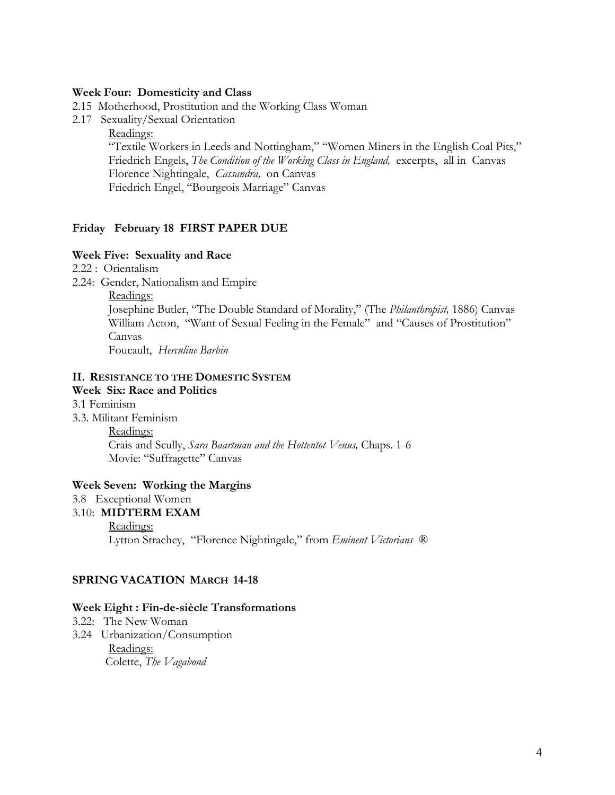#### **Week Four: Domesticity and Class**

2.15 Motherhood, Prostitution and the Working Class Woman

2.17 Sexuality/Sexual Orientation

Readings:

"Textile Workers in Leeds and Nottingham," "Women Miners in the English Coal Pits," Friedrich Engels, *The Condition of the Working Class in England,* excerpts, all in Canvas Florence Nightingale, *Cassandra,* on Canvas Friedrich Engel, "Bourgeois Marriage" Canvas

#### **Friday February 18 FIRST PAPER DUE**

#### **Week Five: Sexuality and Race**

- 2.22 : Orientalism
- 2.24: Gender, Nationalism and Empire
	- Readings:

Josephine Butler, "The Double Standard of Morality," (The *Philanthropist,* 1886) Canvas William Acton, "Want of Sexual Feeling in the Female" and "Causes of Prostitution" Canvas Foucault, *Herculine Barbin*

# **II. RESISTANCE TO THE DOMESTIC SYSTEM**

#### **Week Six: Race and Politics**

- 3.1 Feminism
- 3.3. Militant Feminism

Readings:

Crais and Scully, *Sara Baartman and the Hottentot Venus,* Chaps. 1-6 Movie: "Suffragette" Canvas

#### **Week Seven: Working the Margins**

3.8 Exceptional Women

#### 3.10: **MIDTERM EXAM**

Readings: Lytton Strachey, "Florence Nightingale," from *Eminent Victorians* ®

#### **SPRING VACATION MARCH 14-18**

#### **Week Eight : Fin-de-siècle Transformations**

- 3.22: The New Woman
- 3.24 Urbanization/Consumption Readings: Colette, *The Vagabond*